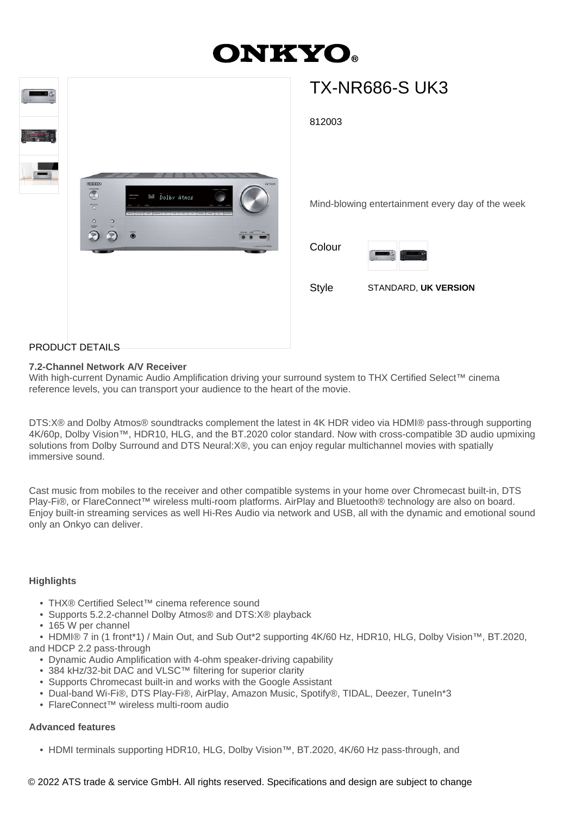# **ONKYO**



# PRODUCT DETAILS

# **7.2-Channel Network A/V Receiver**

With high-current Dynamic Audio Amplification driving your surround system to THX Certified Select™ cinema reference levels, you can transport your audience to the heart of the movie.

DTS:X® and Dolby Atmos® soundtracks complement the latest in 4K HDR video via HDMI® pass-through supporting 4K/60p, Dolby Vision™, HDR10, HLG, and the BT.2020 color standard. Now with cross-compatible 3D audio upmixing solutions from Dolby Surround and DTS Neural:X®, you can enjoy regular multichannel movies with spatially immersive sound.

Cast music from mobiles to the receiver and other compatible systems in your home over Chromecast built-in, DTS Play-Fi®, or FlareConnect™ wireless multi-room platforms. AirPlay and Bluetooth® technology are also on board. Enjoy built-in streaming services as well Hi-Res Audio via network and USB, all with the dynamic and emotional sound only an Onkyo can deliver.

## **Highlights**

- THX® Certified Select™ cinema reference sound
- Supports 5.2.2-channel Dolby Atmos® and DTS:X® playback
- 165 W per channel
- HDMI® 7 in (1 front\*1) / Main Out, and Sub Out\*2 supporting 4K/60 Hz, HDR10, HLG, Dolby Vision™, BT.2020,

and HDCP 2.2 pass-through

- Dynamic Audio Amplification with 4-ohm speaker-driving capability
- 384 kHz/32-bit DAC and VLSC™ filtering for superior clarity
- Supports Chromecast built-in and works with the Google Assistant
- Dual-band Wi-Fi®, DTS Play-Fi®, AirPlay, Amazon Music, Spotify®, TIDAL, Deezer, TuneIn\*3
- FlareConnect™ wireless multi-room audio

## **Advanced features**

• HDMI terminals supporting HDR10, HLG, Dolby Vision™, BT.2020, 4K/60 Hz pass-through, and